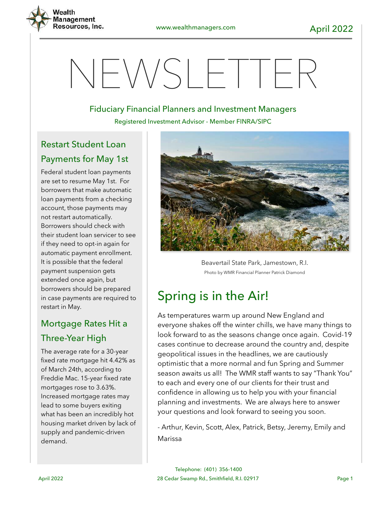

# $NFWS$ HIER

#### Fiduciary Financial Planners and Investment Managers

Registered Investment Advisor - Member FINRA/SIPC

## Restart Student Loan Payments for May 1st

Federal student loan payments are set to resume May 1st. For borrowers that make automatic loan payments from a checking account, those payments may not restart automatically. Borrowers should check with their student loan servicer to see if they need to opt-in again for automatic payment enrollment. It is possible that the federal payment suspension gets extended once again, but borrowers should be prepared in case payments are required to restart in May.

## Mortgage Rates Hit a Three-Year High

The average rate for a 30-year fixed rate mortgage hit 4.42% as of March 24th, according to Freddie Mac. 15-year fixed rate mortgages rose to 3.63%. Increased mortgage rates may lead to some buyers exiting what has been an incredibly hot housing market driven by lack of supply and pandemic-driven demand.



Beavertail State Park, Jamestown, R.I. Photo by WMR Financial Planner Patrick Diamond

## Spring is in the Air!

As temperatures warm up around New England and everyone shakes off the winter chills, we have many things to look forward to as the seasons change once again. Covid-19 cases continue to decrease around the country and, despite geopolitical issues in the headlines, we are cautiously optimistic that a more normal and fun Spring and Summer season awaits us all! The WMR staff wants to say "Thank You" to each and every one of our clients for their trust and confidence in allowing us to help you with your financial planning and investments. We are always here to answer your questions and look forward to seeing you soon.

- Arthur, Kevin, Scott, Alex, Patrick, Betsy, Jeremy, Emily and Marissa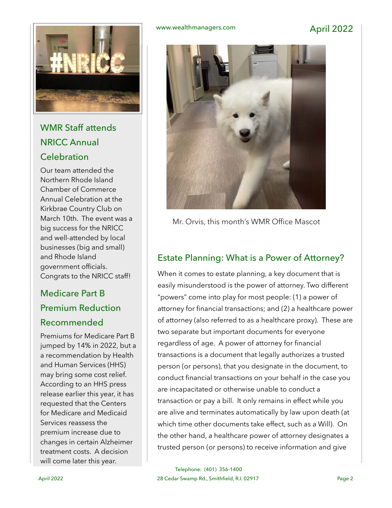

## WMR Staff attends NRICC Annual **Celebration**

Our team attended the Northern Rhode Island Chamber of Commerce Annual Celebration at the Kirkbrae Country Club on March 10th. The event was a big success for the NRICC and well-attended by local businesses (big and small) and Rhode Island government officials. Congrats to the NRICC staff!

## Medicare Part B Premium Reduction Recommended

Premiums for Medicare Part B jumped by 14% in 2022, but a a recommendation by Health and Human Services (HHS) may bring some cost relief. According to an HHS press release earlier this year, it has requested that the Centers for Medicare and Medicaid Services reassess the premium increase due to changes in certain Alzheimer treatment costs. A decision will come later this year.

#### www.wealthmanagers.com April 2022



Mr. Orvis, this month's WMR Office Mascot

### Estate Planning: What is a Power of Attorney?

When it comes to estate planning, a key document that is easily misunderstood is the power of attorney. Two different "powers" come into play for most people: (1) a power of attorney for financial transactions; and (2) a healthcare power of attorney (also referred to as a healthcare proxy). These are two separate but important documents for everyone regardless of age. A power of attorney for financial transactions is a document that legally authorizes a trusted person (or persons), that you designate in the document, to conduct financial transactions on your behalf in the case you are incapacitated or otherwise unable to conduct a transaction or pay a bill. It only remains in effect while you are alive and terminates automatically by law upon death (at which time other documents take effect, such as a Will). On the other hand, a healthcare power of attorney designates a trusted person (or persons) to receive information and give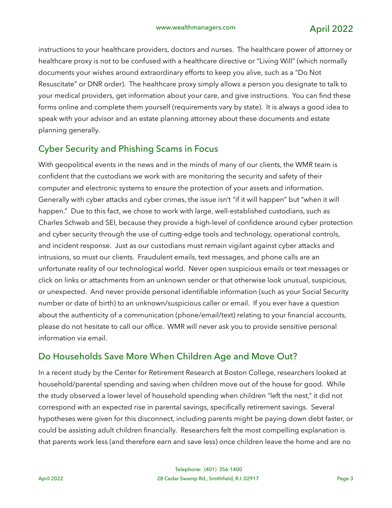instructions to your healthcare providers, doctors and nurses. The healthcare power of attorney or healthcare proxy is not to be confused with a healthcare directive or "Living Will" (which normally documents your wishes around extraordinary efforts to keep you alive, such as a "Do Not Resuscitate" or DNR order). The healthcare proxy simply allows a person you designate to talk to your medical providers, get information about your care, and give instructions. You can find these forms online and complete them yourself (requirements vary by state). It is always a good idea to speak with your advisor and an estate planning attorney about these documents and estate planning generally.

#### Cyber Security and Phishing Scams in Focus

With geopolitical events in the news and in the minds of many of our clients, the WMR team is confident that the custodians we work with are monitoring the security and safety of their computer and electronic systems to ensure the protection of your assets and information. Generally with cyber attacks and cyber crimes, the issue isn't "if it will happen" but "when it will happen." Due to this fact, we chose to work with large, well-established custodians, such as Charles Schwab and SEI, because they provide a high-level of confidence around cyber protection and cyber security through the use of cutting-edge tools and technology, operational controls, and incident response. Just as our custodians must remain vigilant against cyber attacks and intrusions, so must our clients. Fraudulent emails, text messages, and phone calls are an unfortunate reality of our technological world. Never open suspicious emails or text messages or click on links or attachments from an unknown sender or that otherwise look unusual, suspicious, or unexpected. And never provide personal identifiable information (such as your Social Security number or date of birth) to an unknown/suspicious caller or email. If you ever have a question about the authenticity of a communication (phone/email/text) relating to your financial accounts, please do not hesitate to call our office. WMR will never ask you to provide sensitive personal information via email.

#### Do Households Save More When Children Age and Move Out?

In a recent study by the Center for Retirement Research at Boston College, researchers looked at household/parental spending and saving when children move out of the house for good. While the study observed a lower level of household spending when children "left the nest," it did not correspond with an expected rise in parental savings, specifically retirement savings. Several hypotheses were given for this disconnect, including parents might be paying down debt faster, or could be assisting adult children financially. Researchers felt the most compelling explanation is that parents work less (and therefore earn and save less) once children leave the home and are no